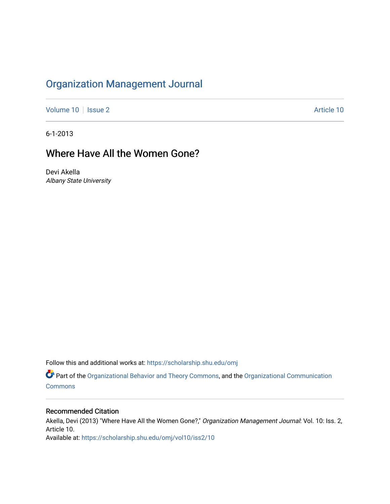## [Organization Management Journal](https://scholarship.shu.edu/omj)

[Volume 10](https://scholarship.shu.edu/omj/vol10) | [Issue 2](https://scholarship.shu.edu/omj/vol10/iss2) Article 10

6-1-2013

## Where Have All the Women Gone?

Devi Akella Albany State University

Follow this and additional works at: [https://scholarship.shu.edu/omj](https://scholarship.shu.edu/omj?utm_source=scholarship.shu.edu%2Fomj%2Fvol10%2Fiss2%2F10&utm_medium=PDF&utm_campaign=PDFCoverPages) 

Part of the [Organizational Behavior and Theory Commons,](http://network.bepress.com/hgg/discipline/639?utm_source=scholarship.shu.edu%2Fomj%2Fvol10%2Fiss2%2F10&utm_medium=PDF&utm_campaign=PDFCoverPages) and the [Organizational Communication](http://network.bepress.com/hgg/discipline/335?utm_source=scholarship.shu.edu%2Fomj%2Fvol10%2Fiss2%2F10&utm_medium=PDF&utm_campaign=PDFCoverPages) **[Commons](http://network.bepress.com/hgg/discipline/335?utm_source=scholarship.shu.edu%2Fomj%2Fvol10%2Fiss2%2F10&utm_medium=PDF&utm_campaign=PDFCoverPages)** 

### Recommended Citation

Akella, Devi (2013) "Where Have All the Women Gone?," Organization Management Journal: Vol. 10: Iss. 2, Article 10. Available at: [https://scholarship.shu.edu/omj/vol10/iss2/10](https://scholarship.shu.edu/omj/vol10/iss2/10?utm_source=scholarship.shu.edu%2Fomj%2Fvol10%2Fiss2%2F10&utm_medium=PDF&utm_campaign=PDFCoverPages)